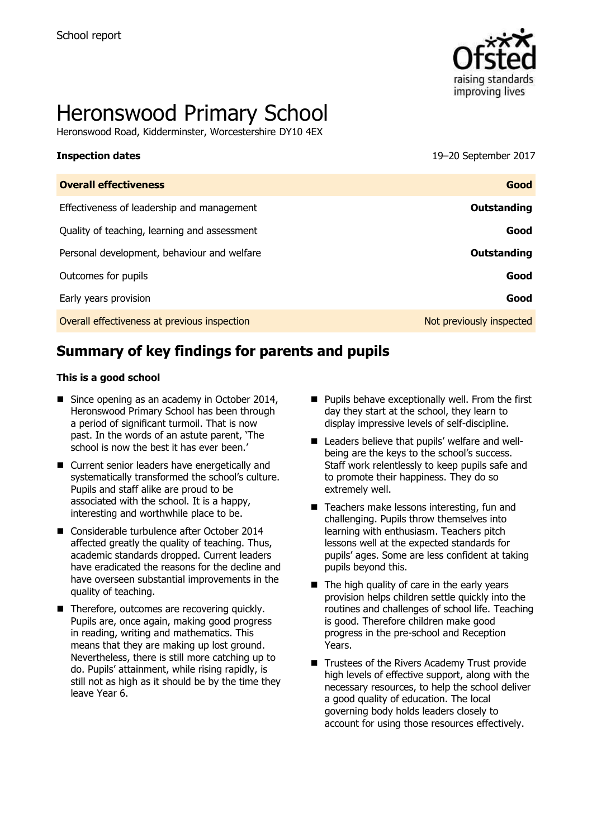

# Heronswood Primary School

Heronswood Road, Kidderminster, Worcestershire DY10 4EX

| <b>Inspection dates</b>                      | 19-20 September 2017     |
|----------------------------------------------|--------------------------|
| <b>Overall effectiveness</b>                 | Good                     |
| Effectiveness of leadership and management   | Outstanding              |
| Quality of teaching, learning and assessment | Good                     |
| Personal development, behaviour and welfare  | Outstanding              |
| Outcomes for pupils                          | Good                     |
| Early years provision                        | Good                     |
| Overall effectiveness at previous inspection | Not previously inspected |

# **Summary of key findings for parents and pupils**

#### **This is a good school**

- Since opening as an academy in October 2014, Heronswood Primary School has been through a period of significant turmoil. That is now past. In the words of an astute parent, 'The school is now the best it has ever been.'
- Current senior leaders have energetically and systematically transformed the school's culture. Pupils and staff alike are proud to be associated with the school. It is a happy, interesting and worthwhile place to be.
- Considerable turbulence after October 2014 affected greatly the quality of teaching. Thus, academic standards dropped. Current leaders have eradicated the reasons for the decline and have overseen substantial improvements in the quality of teaching.
- $\blacksquare$  Therefore, outcomes are recovering quickly. Pupils are, once again, making good progress in reading, writing and mathematics. This means that they are making up lost ground. Nevertheless, there is still more catching up to do. Pupils' attainment, while rising rapidly, is still not as high as it should be by the time they leave Year 6.
- $\blacksquare$  Pupils behave exceptionally well. From the first day they start at the school, they learn to display impressive levels of self-discipline.
- Leaders believe that pupils' welfare and wellbeing are the keys to the school's success. Staff work relentlessly to keep pupils safe and to promote their happiness. They do so extremely well.
- Teachers make lessons interesting, fun and challenging. Pupils throw themselves into learning with enthusiasm. Teachers pitch lessons well at the expected standards for pupils' ages. Some are less confident at taking pupils beyond this.
- $\blacksquare$  The high quality of care in the early years provision helps children settle quickly into the routines and challenges of school life. Teaching is good. Therefore children make good progress in the pre-school and Reception Years.
- Trustees of the Rivers Academy Trust provide high levels of effective support, along with the necessary resources, to help the school deliver a good quality of education. The local governing body holds leaders closely to account for using those resources effectively.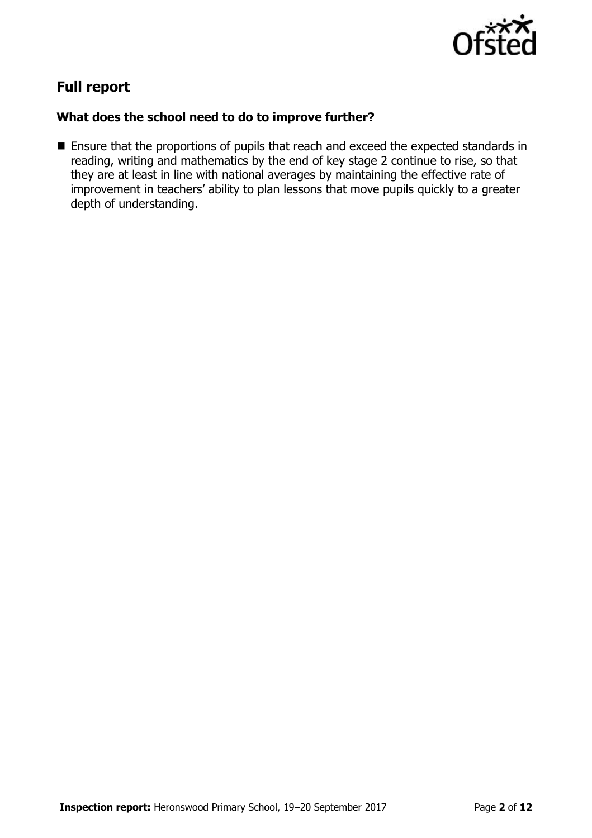

# **Full report**

#### **What does the school need to do to improve further?**

**Ensure that the proportions of pupils that reach and exceed the expected standards in** reading, writing and mathematics by the end of key stage 2 continue to rise, so that they are at least in line with national averages by maintaining the effective rate of improvement in teachers' ability to plan lessons that move pupils quickly to a greater depth of understanding.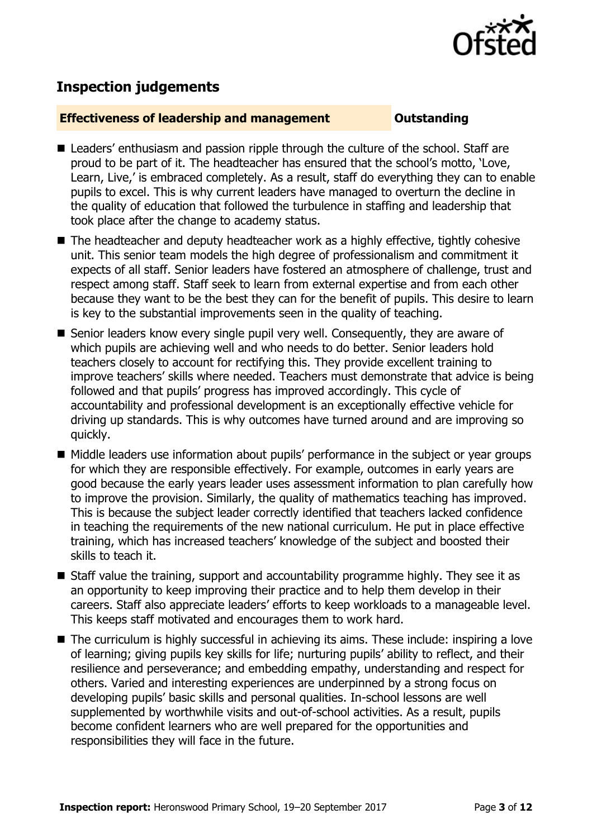

# **Inspection judgements**

#### **Effectiveness of leadership and management Constanding**

- Leaders' enthusiasm and passion ripple through the culture of the school. Staff are proud to be part of it. The headteacher has ensured that the school's motto, 'Love, Learn, Live,' is embraced completely. As a result, staff do everything they can to enable pupils to excel. This is why current leaders have managed to overturn the decline in the quality of education that followed the turbulence in staffing and leadership that took place after the change to academy status.
- The headteacher and deputy headteacher work as a highly effective, tightly cohesive unit. This senior team models the high degree of professionalism and commitment it expects of all staff. Senior leaders have fostered an atmosphere of challenge, trust and respect among staff. Staff seek to learn from external expertise and from each other because they want to be the best they can for the benefit of pupils. This desire to learn is key to the substantial improvements seen in the quality of teaching.
- Senior leaders know every single pupil very well. Consequently, they are aware of which pupils are achieving well and who needs to do better. Senior leaders hold teachers closely to account for rectifying this. They provide excellent training to improve teachers' skills where needed. Teachers must demonstrate that advice is being followed and that pupils' progress has improved accordingly. This cycle of accountability and professional development is an exceptionally effective vehicle for driving up standards. This is why outcomes have turned around and are improving so quickly.
- Middle leaders use information about pupils' performance in the subject or year groups for which they are responsible effectively. For example, outcomes in early years are good because the early years leader uses assessment information to plan carefully how to improve the provision. Similarly, the quality of mathematics teaching has improved. This is because the subject leader correctly identified that teachers lacked confidence in teaching the requirements of the new national curriculum. He put in place effective training, which has increased teachers' knowledge of the subject and boosted their skills to teach it.
- Staff value the training, support and accountability programme highly. They see it as an opportunity to keep improving their practice and to help them develop in their careers. Staff also appreciate leaders' efforts to keep workloads to a manageable level. This keeps staff motivated and encourages them to work hard.
- $\blacksquare$  The curriculum is highly successful in achieving its aims. These include: inspiring a love of learning; giving pupils key skills for life; nurturing pupils' ability to reflect, and their resilience and perseverance; and embedding empathy, understanding and respect for others. Varied and interesting experiences are underpinned by a strong focus on developing pupils' basic skills and personal qualities. In-school lessons are well supplemented by worthwhile visits and out-of-school activities. As a result, pupils become confident learners who are well prepared for the opportunities and responsibilities they will face in the future.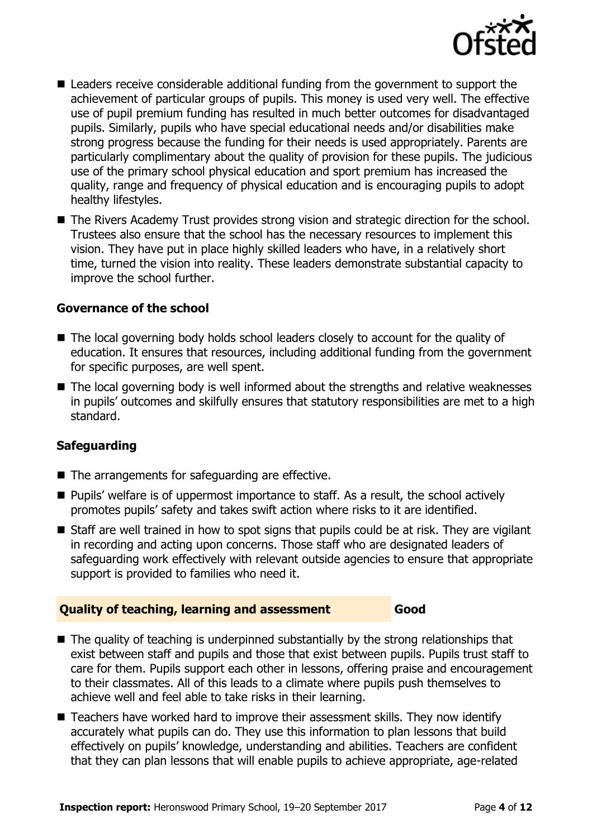

- Leaders receive considerable additional funding from the government to support the achievement of particular groups of pupils. This money is used very well. The effective use of pupil premium funding has resulted in much better outcomes for disadvantaged pupils. Similarly, pupils who have special educational needs and/or disabilities make strong progress because the funding for their needs is used appropriately. Parents are particularly complimentary about the quality of provision for these pupils. The judicious use of the primary school physical education and sport premium has increased the quality, range and frequency of physical education and is encouraging pupils to adopt healthy lifestyles.
- The Rivers Academy Trust provides strong vision and strategic direction for the school. Trustees also ensure that the school has the necessary resources to implement this vision. They have put in place highly skilled leaders who have, in a relatively short time, turned the vision into reality. These leaders demonstrate substantial capacity to improve the school further.

#### **Governance of the school**

- The local governing body holds school leaders closely to account for the quality of education. It ensures that resources, including additional funding from the government for specific purposes, are well spent.
- The local governing body is well informed about the strengths and relative weaknesses in pupils' outcomes and skilfully ensures that statutory responsibilities are met to a high standard.

### **Safeguarding**

- $\blacksquare$  The arrangements for safeguarding are effective.
- Pupils' welfare is of uppermost importance to staff. As a result, the school actively promotes pupils' safety and takes swift action where risks to it are identified.
- Staff are well trained in how to spot signs that pupils could be at risk. They are vigilant in recording and acting upon concerns. Those staff who are designated leaders of safeguarding work effectively with relevant outside agencies to ensure that appropriate support is provided to families who need it.

#### **Quality of teaching, learning and assessment Good**

- $\blacksquare$  The quality of teaching is underpinned substantially by the strong relationships that exist between staff and pupils and those that exist between pupils. Pupils trust staff to care for them. Pupils support each other in lessons, offering praise and encouragement to their classmates. All of this leads to a climate where pupils push themselves to achieve well and feel able to take risks in their learning.
- Teachers have worked hard to improve their assessment skills. They now identify accurately what pupils can do. They use this information to plan lessons that build effectively on pupils' knowledge, understanding and abilities. Teachers are confident that they can plan lessons that will enable pupils to achieve appropriate, age-related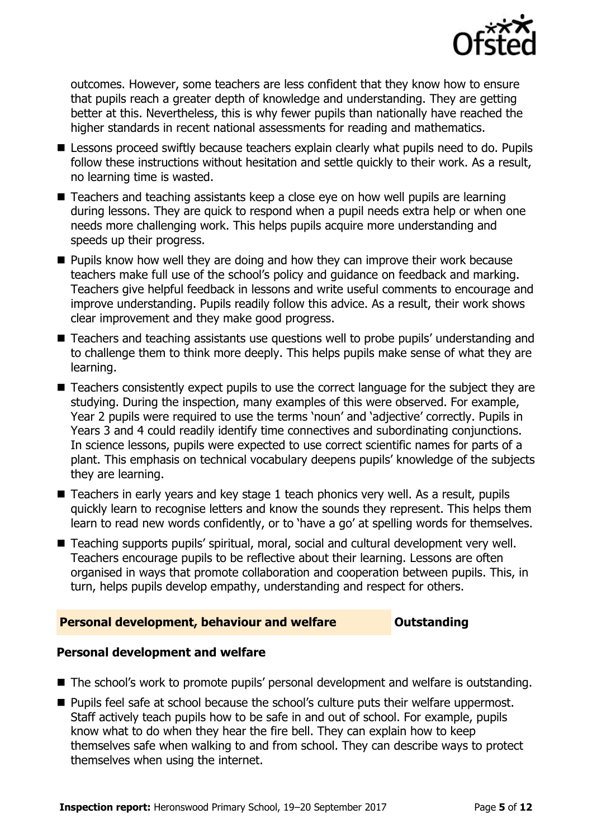

outcomes. However, some teachers are less confident that they know how to ensure that pupils reach a greater depth of knowledge and understanding. They are getting better at this. Nevertheless, this is why fewer pupils than nationally have reached the higher standards in recent national assessments for reading and mathematics.

- **E** Lessons proceed swiftly because teachers explain clearly what pupils need to do. Pupils follow these instructions without hesitation and settle quickly to their work. As a result, no learning time is wasted.
- Teachers and teaching assistants keep a close eye on how well pupils are learning during lessons. They are quick to respond when a pupil needs extra help or when one needs more challenging work. This helps pupils acquire more understanding and speeds up their progress.
- **Pupils know how well they are doing and how they can improve their work because** teachers make full use of the school's policy and guidance on feedback and marking. Teachers give helpful feedback in lessons and write useful comments to encourage and improve understanding. Pupils readily follow this advice. As a result, their work shows clear improvement and they make good progress.
- Teachers and teaching assistants use questions well to probe pupils' understanding and to challenge them to think more deeply. This helps pupils make sense of what they are learning.
- Teachers consistently expect pupils to use the correct language for the subject they are studying. During the inspection, many examples of this were observed. For example, Year 2 pupils were required to use the terms 'noun' and 'adjective' correctly. Pupils in Years 3 and 4 could readily identify time connectives and subordinating conjunctions. In science lessons, pupils were expected to use correct scientific names for parts of a plant. This emphasis on technical vocabulary deepens pupils' knowledge of the subjects they are learning.
- Teachers in early years and key stage 1 teach phonics very well. As a result, pupils quickly learn to recognise letters and know the sounds they represent. This helps them learn to read new words confidently, or to 'have a go' at spelling words for themselves.
- Teaching supports pupils' spiritual, moral, social and cultural development very well. Teachers encourage pupils to be reflective about their learning. Lessons are often organised in ways that promote collaboration and cooperation between pupils. This, in turn, helps pupils develop empathy, understanding and respect for others.

#### **Personal development, behaviour and welfare <b>COUNG COULTS** Outstanding

### **Personal development and welfare**

- The school's work to promote pupils' personal development and welfare is outstanding.
- **Pupils feel safe at school because the school's culture puts their welfare uppermost.** Staff actively teach pupils how to be safe in and out of school. For example, pupils know what to do when they hear the fire bell. They can explain how to keep themselves safe when walking to and from school. They can describe ways to protect themselves when using the internet.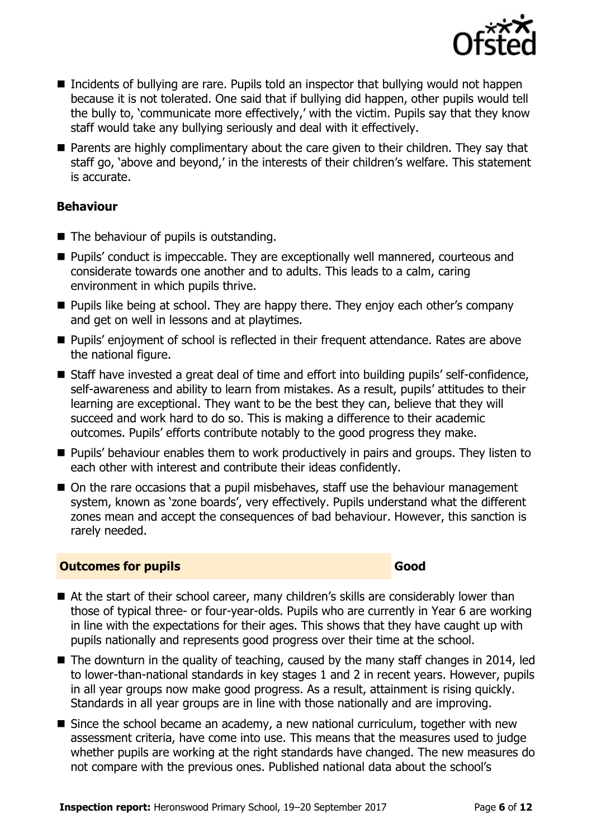

- Incidents of bullying are rare. Pupils told an inspector that bullying would not happen because it is not tolerated. One said that if bullying did happen, other pupils would tell the bully to, 'communicate more effectively,' with the victim. Pupils say that they know staff would take any bullying seriously and deal with it effectively.
- **Parents are highly complimentary about the care given to their children. They say that** staff go, 'above and beyond,' in the interests of their children's welfare. This statement is accurate.

### **Behaviour**

- $\blacksquare$  The behaviour of pupils is outstanding.
- Pupils' conduct is impeccable. They are exceptionally well mannered, courteous and considerate towards one another and to adults. This leads to a calm, caring environment in which pupils thrive.
- **Pupils like being at school. They are happy there. They enjoy each other's company** and get on well in lessons and at playtimes.
- **Pupils'** enjoyment of school is reflected in their frequent attendance. Rates are above the national figure.
- Staff have invested a great deal of time and effort into building pupils' self-confidence, self-awareness and ability to learn from mistakes. As a result, pupils' attitudes to their learning are exceptional. They want to be the best they can, believe that they will succeed and work hard to do so. This is making a difference to their academic outcomes. Pupils' efforts contribute notably to the good progress they make.
- **Pupils' behaviour enables them to work productively in pairs and groups. They listen to** each other with interest and contribute their ideas confidently.
- On the rare occasions that a pupil misbehaves, staff use the behaviour management system, known as 'zone boards', very effectively. Pupils understand what the different zones mean and accept the consequences of bad behaviour. However, this sanction is rarely needed.

#### **Outcomes for pupils Good Good**

- At the start of their school career, many children's skills are considerably lower than those of typical three- or four-year-olds. Pupils who are currently in Year 6 are working in line with the expectations for their ages. This shows that they have caught up with pupils nationally and represents good progress over their time at the school.
- The downturn in the quality of teaching, caused by the many staff changes in 2014, led to lower-than-national standards in key stages 1 and 2 in recent years. However, pupils in all year groups now make good progress. As a result, attainment is rising quickly. Standards in all year groups are in line with those nationally and are improving.
- Since the school became an academy, a new national curriculum, together with new assessment criteria, have come into use. This means that the measures used to judge whether pupils are working at the right standards have changed. The new measures do not compare with the previous ones. Published national data about the school's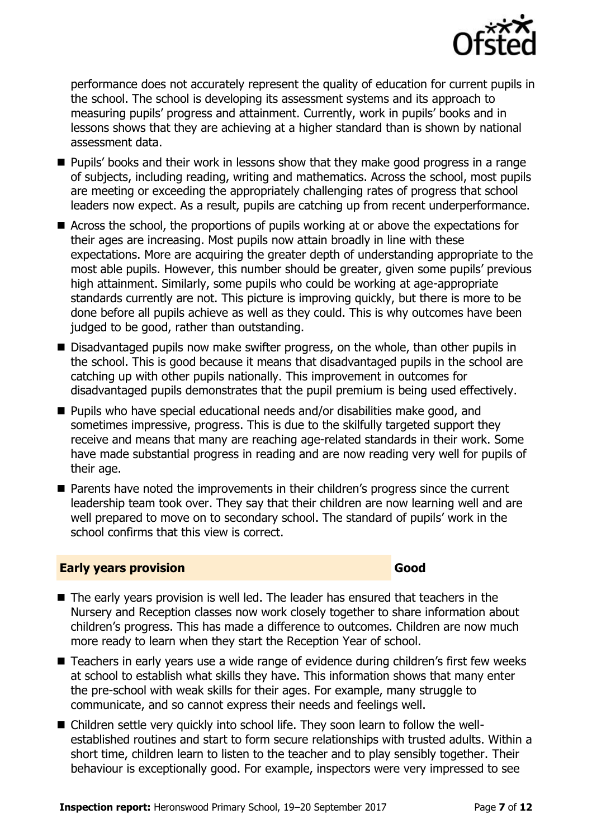

performance does not accurately represent the quality of education for current pupils in the school. The school is developing its assessment systems and its approach to measuring pupils' progress and attainment. Currently, work in pupils' books and in lessons shows that they are achieving at a higher standard than is shown by national assessment data.

- Pupils' books and their work in lessons show that they make good progress in a range of subjects, including reading, writing and mathematics. Across the school, most pupils are meeting or exceeding the appropriately challenging rates of progress that school leaders now expect. As a result, pupils are catching up from recent underperformance.
- Across the school, the proportions of pupils working at or above the expectations for their ages are increasing. Most pupils now attain broadly in line with these expectations. More are acquiring the greater depth of understanding appropriate to the most able pupils. However, this number should be greater, given some pupils' previous high attainment. Similarly, some pupils who could be working at age-appropriate standards currently are not. This picture is improving quickly, but there is more to be done before all pupils achieve as well as they could. This is why outcomes have been judged to be good, rather than outstanding.
- Disadvantaged pupils now make swifter progress, on the whole, than other pupils in the school. This is good because it means that disadvantaged pupils in the school are catching up with other pupils nationally. This improvement in outcomes for disadvantaged pupils demonstrates that the pupil premium is being used effectively.
- Pupils who have special educational needs and/or disabilities make good, and sometimes impressive, progress. This is due to the skilfully targeted support they receive and means that many are reaching age-related standards in their work. Some have made substantial progress in reading and are now reading very well for pupils of their age.
- Parents have noted the improvements in their children's progress since the current leadership team took over. They say that their children are now learning well and are well prepared to move on to secondary school. The standard of pupils' work in the school confirms that this view is correct.

#### **Early years provision Good Good**

- The early years provision is well led. The leader has ensured that teachers in the Nursery and Reception classes now work closely together to share information about children's progress. This has made a difference to outcomes. Children are now much more ready to learn when they start the Reception Year of school.
- Teachers in early years use a wide range of evidence during children's first few weeks at school to establish what skills they have. This information shows that many enter the pre-school with weak skills for their ages. For example, many struggle to communicate, and so cannot express their needs and feelings well.
- Children settle very quickly into school life. They soon learn to follow the wellestablished routines and start to form secure relationships with trusted adults. Within a short time, children learn to listen to the teacher and to play sensibly together. Their behaviour is exceptionally good. For example, inspectors were very impressed to see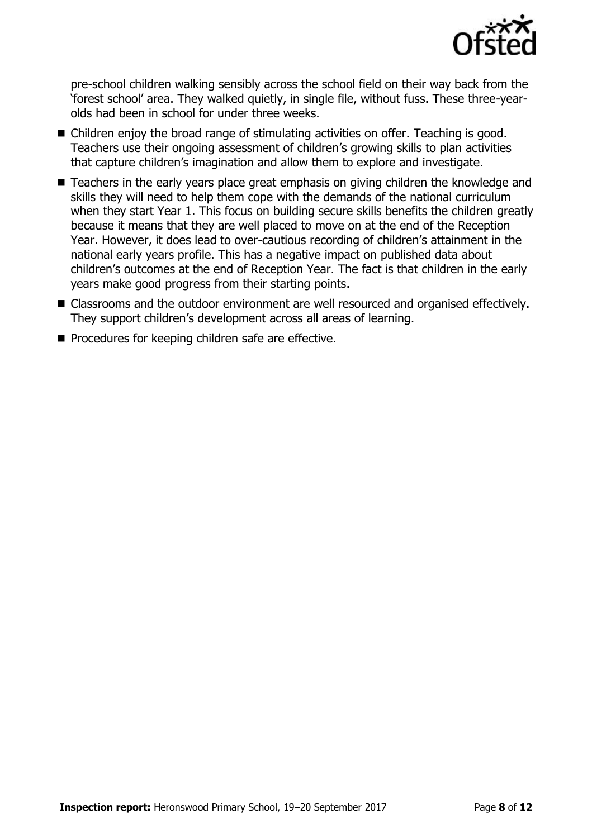

pre-school children walking sensibly across the school field on their way back from the 'forest school' area. They walked quietly, in single file, without fuss. These three-yearolds had been in school for under three weeks.

- Children enjoy the broad range of stimulating activities on offer. Teaching is good. Teachers use their ongoing assessment of children's growing skills to plan activities that capture children's imagination and allow them to explore and investigate.
- Teachers in the early vears place great emphasis on giving children the knowledge and skills they will need to help them cope with the demands of the national curriculum when they start Year 1. This focus on building secure skills benefits the children greatly because it means that they are well placed to move on at the end of the Reception Year. However, it does lead to over-cautious recording of children's attainment in the national early years profile. This has a negative impact on published data about children's outcomes at the end of Reception Year. The fact is that children in the early years make good progress from their starting points.
- Classrooms and the outdoor environment are well resourced and organised effectively. They support children's development across all areas of learning.
- **Procedures for keeping children safe are effective.**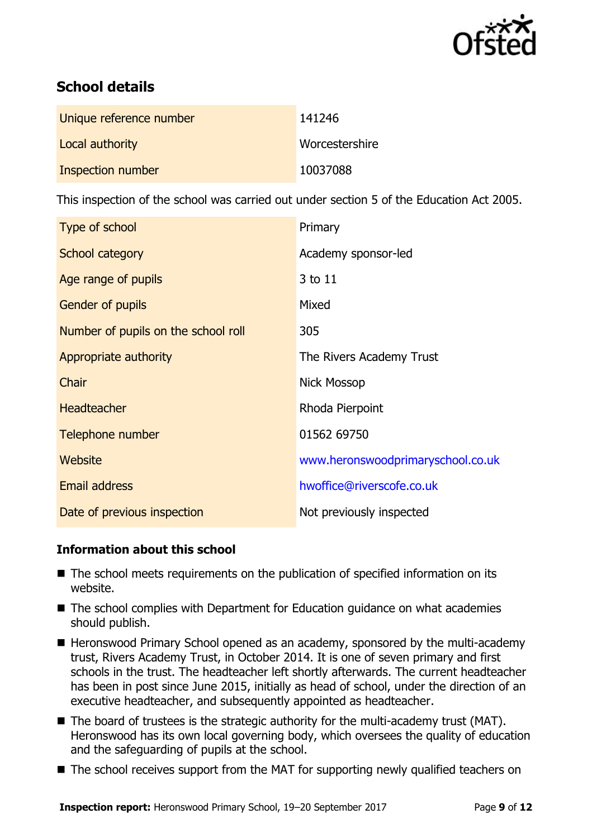

# **School details**

| Unique reference number | 141246         |
|-------------------------|----------------|
| Local authority         | Worcestershire |
| Inspection number       | 10037088       |

This inspection of the school was carried out under section 5 of the Education Act 2005.

| Type of school                      | Primary                           |
|-------------------------------------|-----------------------------------|
| School category                     | Academy sponsor-led               |
| Age range of pupils                 | 3 to 11                           |
| <b>Gender of pupils</b>             | Mixed                             |
| Number of pupils on the school roll | 305                               |
| Appropriate authority               | The Rivers Academy Trust          |
| Chair                               | <b>Nick Mossop</b>                |
| <b>Headteacher</b>                  | Rhoda Pierpoint                   |
| Telephone number                    | 01562 69750                       |
| Website                             | www.heronswoodprimaryschool.co.uk |
| <b>Email address</b>                | hwoffice@riverscofe.co.uk         |
| Date of previous inspection         | Not previously inspected          |

### **Information about this school**

- The school meets requirements on the publication of specified information on its website.
- The school complies with Department for Education guidance on what academies should publish.
- Heronswood Primary School opened as an academy, sponsored by the multi-academy trust, Rivers Academy Trust, in October 2014. It is one of seven primary and first schools in the trust. The headteacher left shortly afterwards. The current headteacher has been in post since June 2015, initially as head of school, under the direction of an executive headteacher, and subsequently appointed as headteacher.
- The board of trustees is the strategic authority for the multi-academy trust (MAT). Heronswood has its own local governing body, which oversees the quality of education and the safeguarding of pupils at the school.
- The school receives support from the MAT for supporting newly qualified teachers on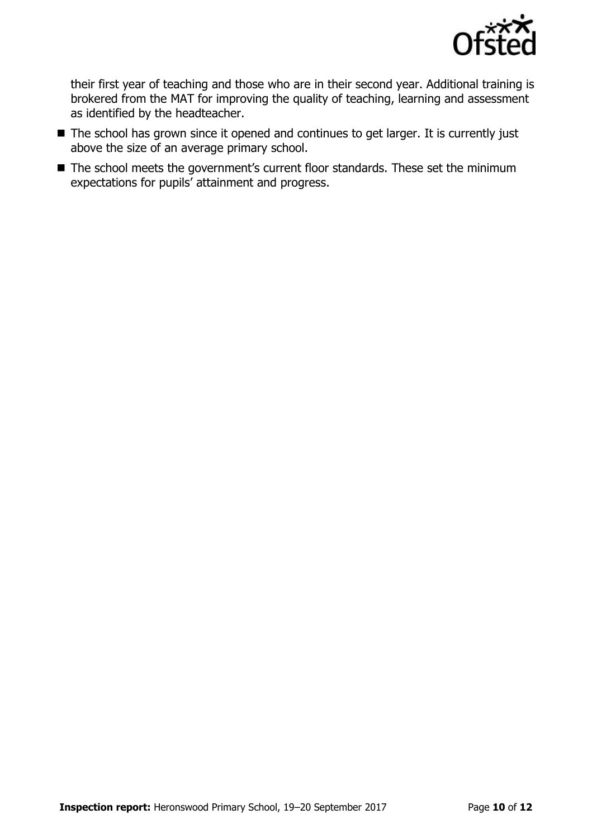

their first year of teaching and those who are in their second year. Additional training is brokered from the MAT for improving the quality of teaching, learning and assessment as identified by the headteacher.

- The school has grown since it opened and continues to get larger. It is currently just above the size of an average primary school.
- The school meets the government's current floor standards. These set the minimum expectations for pupils' attainment and progress.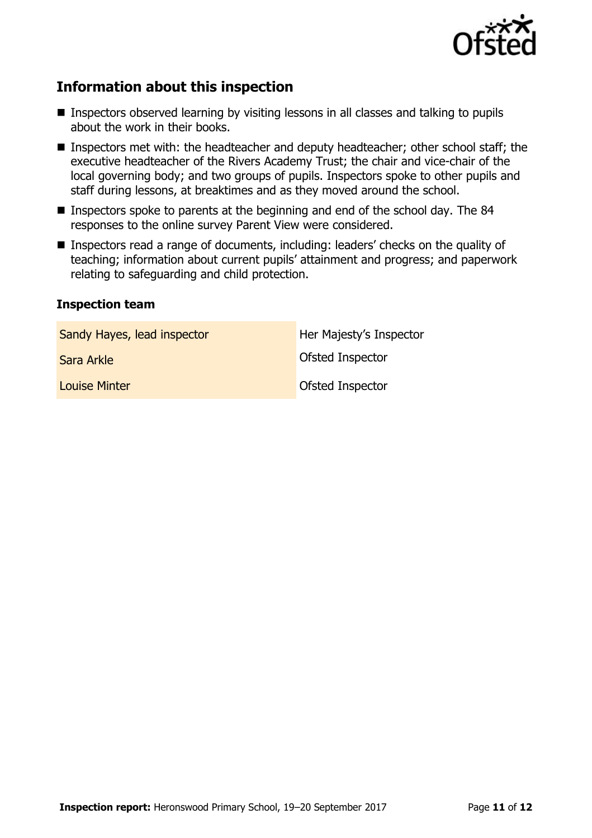

# **Information about this inspection**

- Inspectors observed learning by visiting lessons in all classes and talking to pupils about the work in their books.
- Inspectors met with: the headteacher and deputy headteacher; other school staff; the executive headteacher of the Rivers Academy Trust; the chair and vice-chair of the local governing body; and two groups of pupils. Inspectors spoke to other pupils and staff during lessons, at breaktimes and as they moved around the school.
- Inspectors spoke to parents at the beginning and end of the school day. The 84 responses to the online survey Parent View were considered.
- Inspectors read a range of documents, including: leaders' checks on the quality of teaching; information about current pupils' attainment and progress; and paperwork relating to safeguarding and child protection.

#### **Inspection team**

Sandy Hayes, lead inspector **Her Majesty's Inspector Sara Arkle Construction Construction Construction Construction Construction Construction Construction Construction** Louise Minter **Communist Communist Communist Constantine Constantine Constantine Constantine Constantine Constantine Constantine Constantine Constantine Constantine Constantine Constantine Constantine Constantine Constanti**